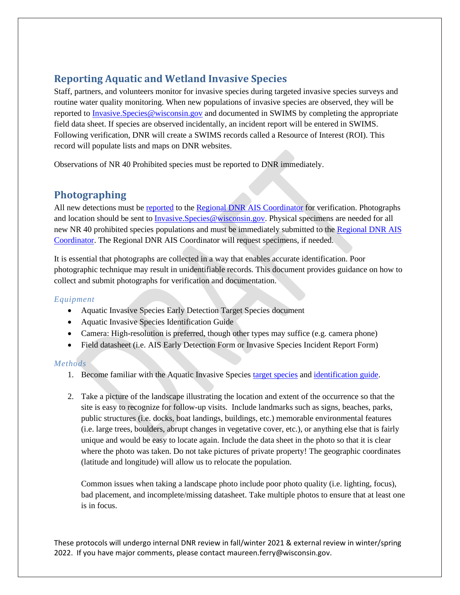# **Reporting Aquatic and Wetland Invasive Species**

Staff, partners, and volunteers monitor for invasive species during targeted invasive species surveys and routine water quality monitoring. When new populations of invasive species are observed, they will be reported to **Invasive.** Species @wisconsin.gov and documented in SWIMS by completing the appropriate field data sheet. If species are observed incidentally, an incident report will be entered in SWIMS. Following verification, DNR will create a SWIMS records called a Resource of Interest (ROI). This record will populate lists and maps on DNR websites.

Observations of NR 40 Prohibited species must be reported to DNR immediately.

## **Photographing**

All new detections must be [reported](https://dnr.wi.gov/topic/Invasives/report.html) to the [Regional DNR AIS Coordinator](https://dnr.wi.gov/lakes/invasives/Contacts.aspx?role=AIS_RE_COORD) for verification. Photographs and location should be sent to *Invasive.Species@wisconsin.gov*. Physical specimens are needed for all new NR 40 prohibited species populations and must be immediately submitted to the [Regional DNR](https://dnr.wi.gov/lakes/invasives/Contacts.aspx?role=AIS_RE_COORD) AIS [Coordinator.](https://dnr.wi.gov/lakes/invasives/Contacts.aspx?role=AIS_RE_COORD) The Regional DNR AIS Coordinator will request specimens, if needed.

It is essential that photographs are collected in a way that enables accurate identification. Poor photographic technique may result in unidentifiable records. This document provides guidance on how to collect and submit photographs for verification and documentation.

### *Equipment*

- Aquatic Invasive Species Early Detection Target Species document
- Aquatic Invasive Species Identification Guide
- Camera: High-resolution is preferred, though other types may suffice (e.g. camera phone)
- Field datasheet (i.e. AIS Early Detection Form or Invasive Species Incident Report Form)

### *Methods*

- 1. Become familiar with the Aquatic Invasive Species [target species](https://dnrx.wisconsin.gov/swims/downloadDocument.do?id=145713141) an[d identification guide.](https://dnrx.wisconsin.gov/swims/downloadDocument.do?id=145709781)
- 2. Take a picture of the landscape illustrating the location and extent of the occurrence so that the site is easy to recognize for follow-up visits. Include landmarks such as signs, beaches, parks, public structures (i.e. docks, boat landings, buildings, etc.) memorable environmental features (i.e. large trees, boulders, abrupt changes in vegetative cover, etc.), or anything else that is fairly unique and would be easy to locate again. Include the data sheet in the photo so that it is clear where the photo was taken. Do not take pictures of private property! The geographic coordinates (latitude and longitude) will allow us to relocate the population.

Common issues when taking a landscape photo include poor photo quality (i.e. lighting, focus), bad placement, and incomplete/missing datasheet. Take multiple photos to ensure that at least one is in focus.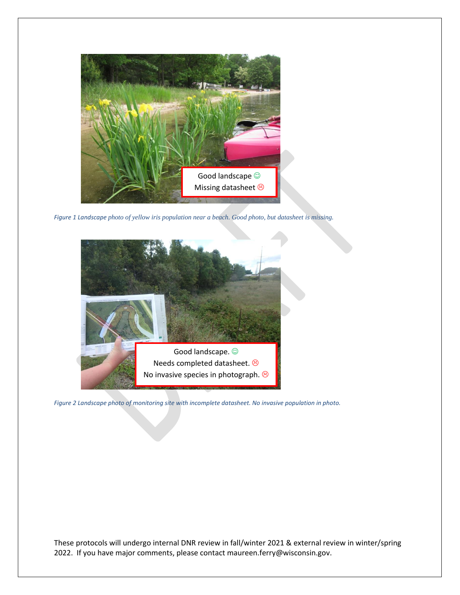

*Figure 1 Landscape photo of yellow iris population near a beach. Good photo, but datasheet is missing.*



*Figure 2 Landscape photo of monitoring site with incomplete datasheet. No invasive population in photo.*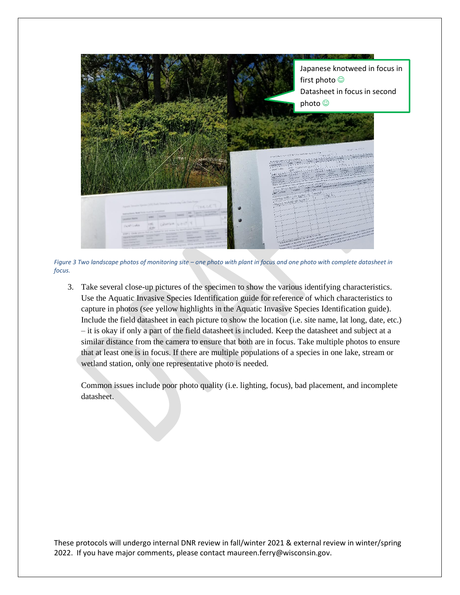

*Figure 3 Two landscape photos of monitoring site – one photo with plant in focus and one photo with complete datasheet in focus.*

3. Take several close-up pictures of the specimen to show the various identifying characteristics. Use the Aquatic Invasive Species Identification guide for reference of which characteristics to capture in photos (see yellow highlights in the Aquatic Invasive Species Identification guide). Include the field datasheet in each picture to show the location (i.e. site name, lat long, date, etc.) – it is okay if only a part of the field datasheet is included. Keep the datasheet and subject at a similar distance from the camera to ensure that both are in focus. Take multiple photos to ensure that at least one is in focus. If there are multiple populations of a species in one lake, stream or wetland station, only one representative photo is needed.

Common issues include poor photo quality (i.e. lighting, focus), bad placement, and incomplete datasheet.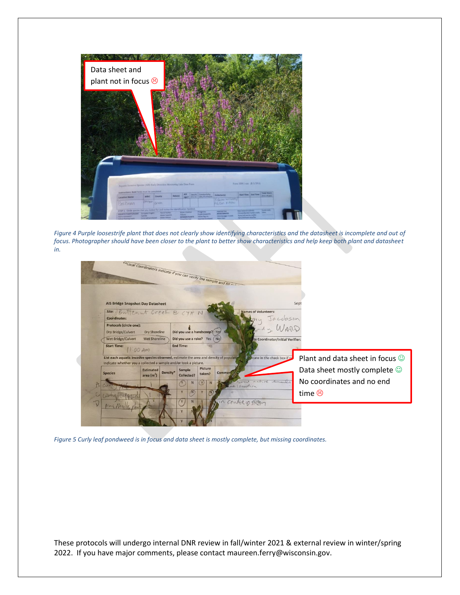

*Figure 4 Purple loosestrife plant that does not clearly show identifying characteristics and the datasheet is incomplete and out of focus. Photographer should have been closer to the plant to better show characteristics and help keep both plant and datasheet in.*

|                                                                                                                                                              |                                 |          |                                                  |                   | ** Local Coordinators indicate if you can verify the sample and fill mixt |                                  |                                       |
|--------------------------------------------------------------------------------------------------------------------------------------------------------------|---------------------------------|----------|--------------------------------------------------|-------------------|---------------------------------------------------------------------------|----------------------------------|---------------------------------------|
| <b>AIS Bridge Snapshot Day Datasheet</b>                                                                                                                     |                                 |          |                                                  |                   |                                                                           |                                  | Sept                                  |
| site: Buttenut Creek @ CTH N<br>Coordinates:                                                                                                                 |                                 |          |                                                  |                   | <b>Names of Volunteers:</b>                                               |                                  |                                       |
| Protocols (circle one):<br><b>Dry Bridge/Culvert</b>                                                                                                         | Dry Shoreline                   |          | Did you use a handscoop? Yes N                   |                   |                                                                           | Jacobson<br>J. WARD              |                                       |
| Wet Bridge/Culvert<br><b>Start Time:</b>                                                                                                                     | <b>Wet Shoreline</b>            |          | Did you use a rake? Yes (No)<br><b>End Time:</b> |                   |                                                                           | te Coordinator/Initial Verifier: |                                       |
| 11.00Am                                                                                                                                                      |                                 |          |                                                  |                   |                                                                           |                                  |                                       |
| List each aquatic invasive species observed, estimate the area and density of population<br>Indicate whether you a collected a sample and/or took a picture. |                                 |          |                                                  |                   |                                                                           | licate in the check box if no    | Plant and data sheet in focus $\odot$ |
| <b>Species</b>                                                                                                                                               | <b>Estimated</b><br>area $(m2)$ | Density* | Sample<br>Collected?                             | Picture<br>taken? | <b>Commen</b>                                                             |                                  | Data sheet mostly complete $\odot$    |
|                                                                                                                                                              |                                 |          | N                                                | N                 | nat                                                                       | $U -$                            | No coordinates and no end             |
|                                                                                                                                                              |                                 |          | $\Lambda$<br>v                                   |                   | me location                                                               |                                  | time $\odot$                          |
|                                                                                                                                                              |                                 |          |                                                  |                   | in centre of strong                                                       |                                  |                                       |
|                                                                                                                                                              |                                 |          |                                                  |                   |                                                                           |                                  |                                       |

*Figure 5 Curly leaf pondweed is in focus and data sheet is mostly complete, but missing coordinates.*